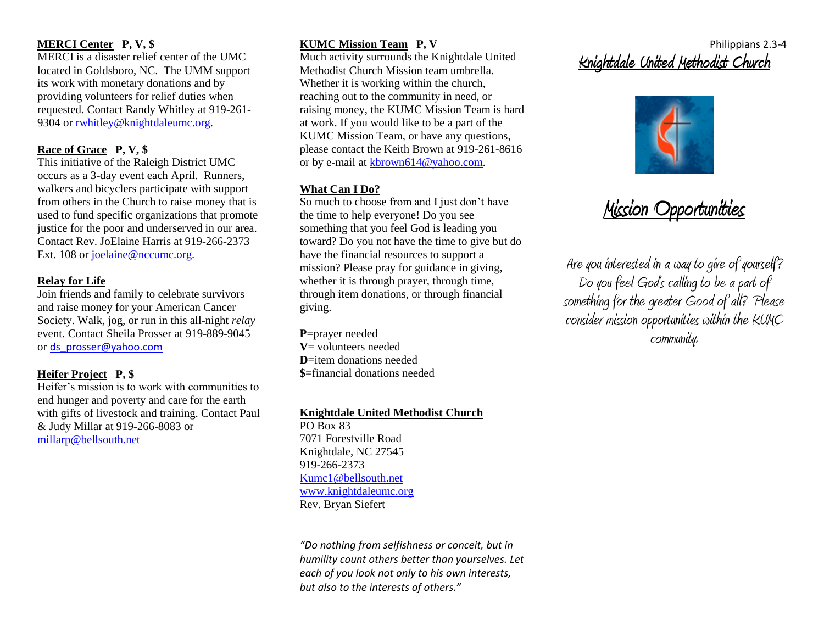#### **MERCI Center P, V, \$**

MERCI is a disaster relief center of the UMC located in Goldsboro, NC. The UMM support its work with monetary donations and by providing volunteers for relief duties when requested. Contact Randy Whitley at 919-261 9304 o[r rwhitley@knightdaleumc.org.](mailto:rwhitley@knightdaleumc.org)

### **Race of Grace P, V, \$**

This initiative of the Raleigh District UMC occurs as a 3-day event each April. Runners, walkers and bicyclers participate with support from others in the Church to raise money that is used to fund specific organizations that promote justice for the poor and underserved in our area. Contact Rev. JoElaine Harris at 919-266-2373 Ext. 108 or [joelaine@nccumc.org.](mailto:joelaine@nccumc.org)

#### **Relay for Life**

Join friends and family to celebrate survivors and raise money for your American Cancer Society. Walk, jog, or run in this all-night *relay* event. Contact Sheila Prosser at 919-889-9045 or [ds\\_prosser@yahoo.com](mailto:ds_prosser@yahoo.com)

# **Heifer Project P, \$**

Heifer's mission is to work with communities to end hunger and poverty and care for the earth with gifts of livestock and training. Contact Paul & Judy Millar at 919-266-8083 or [millarp@bellsouth.net](mailto:millarp@bellsouth.net)

# **KUMC Mission Team P, V**

Much activity surrounds the Knightdale United Methodist Church Mission team umbrella. Whether it is working within the church, reaching out to the community in need, or raising money, the KUMC Mission Team is hard at work. If you would like to be a part of the KUMC Mission Team, or have any questions, please contact the Keith Brown at 919-261-8616 or by e-mail at [kbrown614@yahoo.com.](mailto:kbrown614@yahoo.com)

# **What Can I Do?**

So much to choose from and I just don't have the time to help everyone! Do you see something that you feel God is leading you toward? Do you not have the time to give but do have the financial resources to support a mission? Please pray for guidance in giving, whether it is through prayer, through time. through item donations, or through financial giving.

**P**=prayer needed **V**= volunteers needed **D**=item donations needed **\$**=financial donations needed

# **Knightdale United Methodist Church**

PO Box 83 7071 Forestville Road Knightdale, NC 27545 919-266-2373 [Kumc1@bellsouth.net](mailto:Kumc1@bellsouth.net) [www.knightdaleumc.org](http://www.knightdaleumc.org/) Rev. Bryan Siefert

*"Do nothing from selfishness or conceit, but in humility count others better than yourselves. Let each of you look not only to his own interests, but also to the interests of others."*

# Philippians 2.3-4 **Knightdale United Methodist Church**



# **Mission Opportunities**

Are you interested in a way to give of yourself? Do you feel God's calling to be a part of something for the greater Good of all? Please consider mission opportunities within the KUMC community.